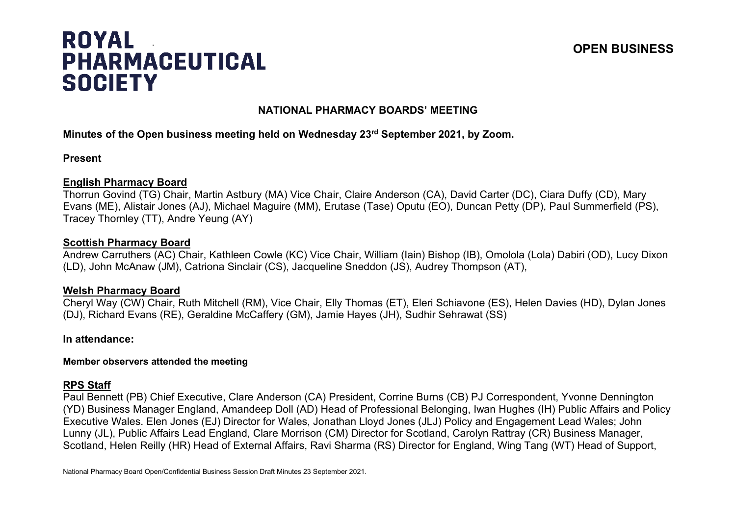# **ROYAL PHARMACEUTICAL SOCIETY**

## **OPEN BUSINESS**

## **NATIONAL PHARMACY BOARDS' MEETING**

## **Minutes of the Open business meeting held on Wednesday 23rd September 2021, by Zoom.**

#### **Present**

#### **English Pharmacy Board**

Thorrun Govind (TG) Chair, Martin Astbury (MA) Vice Chair, Claire Anderson (CA), David Carter (DC), Ciara Duffy (CD), Mary Evans (ME), Alistair Jones (AJ), Michael Maguire (MM), Erutase (Tase) Oputu (EO), Duncan Petty (DP), Paul Summerfield (PS), Tracey Thornley (TT), Andre Yeung (AY)

#### **Scottish Pharmacy Board**

Andrew Carruthers (AC) Chair, Kathleen Cowle (KC) Vice Chair, William (Iain) Bishop (IB), Omolola (Lola) Dabiri (OD), Lucy Dixon (LD), John McAnaw (JM), Catriona Sinclair (CS), Jacqueline Sneddon (JS), Audrey Thompson (AT),

#### **Welsh Pharmacy Board**

Cheryl Way (CW) Chair, Ruth Mitchell (RM), Vice Chair, Elly Thomas (ET), Eleri Schiavone (ES), Helen Davies (HD), Dylan Jones (DJ), Richard Evans (RE), Geraldine McCaffery (GM), Jamie Hayes (JH), Sudhir Sehrawat (SS)

## **In attendance:**

#### **Member observers attended the meeting**

## **RPS Staff**

Paul Bennett (PB) Chief Executive, Clare Anderson (CA) President, Corrine Burns (CB) PJ Correspondent, Yvonne Dennington (YD) Business Manager England, Amandeep Doll (AD) Head of Professional Belonging, Iwan Hughes (IH) Public Affairs and Policy Executive Wales. Elen Jones (EJ) Director for Wales, Jonathan Lloyd Jones (JLJ) Policy and Engagement Lead Wales; John Lunny (JL), Public Affairs Lead England, Clare Morrison (CM) Director for Scotland, Carolyn Rattray (CR) Business Manager, Scotland, Helen Reilly (HR) Head of External Affairs, Ravi Sharma (RS) Director for England, Wing Tang (WT) Head of Support,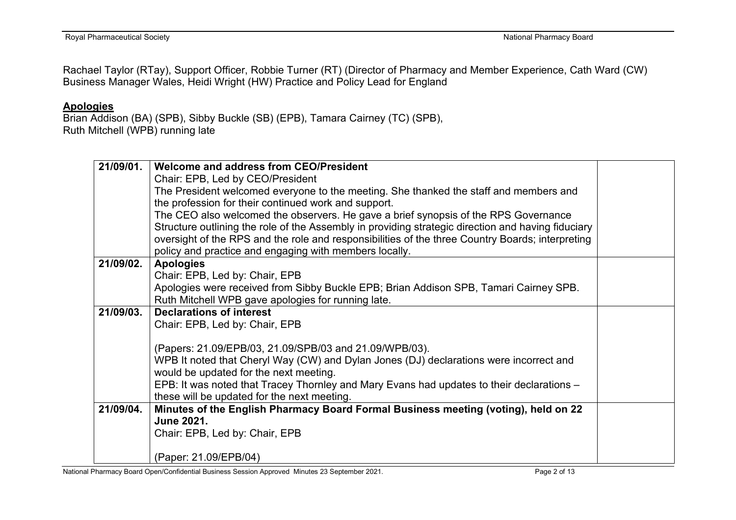Rachael Taylor (RTay), Support Officer, Robbie Turner (RT) (Director of Pharmacy and Member Experience, Cath Ward (CW) Business Manager Wales, Heidi Wright (HW) Practice and Policy Lead for England

## **Apologies**

Brian Addison (BA) (SPB), Sibby Buckle (SB) (EPB), Tamara Cairney (TC) (SPB), Ruth Mitchell (WPB) running late

| 21/09/01. | Welcome and address from CEO/President                                                             |  |  |
|-----------|----------------------------------------------------------------------------------------------------|--|--|
|           | Chair: EPB, Led by CEO/President                                                                   |  |  |
|           | The President welcomed everyone to the meeting. She thanked the staff and members and              |  |  |
|           | the profession for their continued work and support.                                               |  |  |
|           | The CEO also welcomed the observers. He gave a brief synopsis of the RPS Governance                |  |  |
|           | Structure outlining the role of the Assembly in providing strategic direction and having fiduciary |  |  |
|           | oversight of the RPS and the role and responsibilities of the three Country Boards; interpreting   |  |  |
|           | policy and practice and engaging with members locally.                                             |  |  |
| 21/09/02. | <b>Apologies</b>                                                                                   |  |  |
|           | Chair: EPB, Led by: Chair, EPB                                                                     |  |  |
|           | Apologies were received from Sibby Buckle EPB; Brian Addison SPB, Tamari Cairney SPB.              |  |  |
|           | Ruth Mitchell WPB gave apologies for running late.                                                 |  |  |
| 21/09/03. | <b>Declarations of interest</b>                                                                    |  |  |
|           | Chair: EPB, Led by: Chair, EPB                                                                     |  |  |
|           |                                                                                                    |  |  |
|           | (Papers: 21.09/EPB/03, 21.09/SPB/03 and 21.09/WPB/03).                                             |  |  |
|           | WPB It noted that Cheryl Way (CW) and Dylan Jones (DJ) declarations were incorrect and             |  |  |
|           | would be updated for the next meeting.                                                             |  |  |
|           | EPB: It was noted that Tracey Thornley and Mary Evans had updates to their declarations -          |  |  |
|           | these will be updated for the next meeting.                                                        |  |  |
| 21/09/04. | Minutes of the English Pharmacy Board Formal Business meeting (voting), held on 22                 |  |  |
|           | <b>June 2021.</b>                                                                                  |  |  |
|           | Chair: EPB, Led by: Chair, EPB                                                                     |  |  |
|           |                                                                                                    |  |  |
|           | (Paper: 21.09/EPB/04)                                                                              |  |  |

National Pharmacy Board Open/Confidential Business Session Approved Minutes 23 September 2021. Page 2 of 13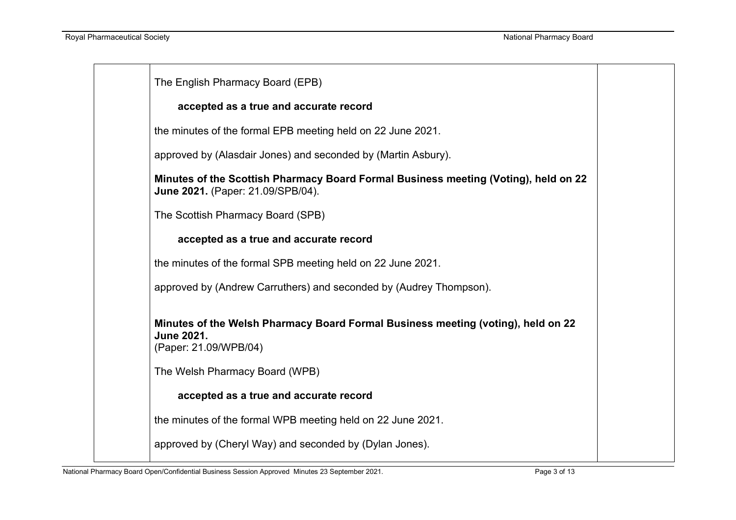| The English Pharmacy Board (EPB)                                                                                                                                 |
|------------------------------------------------------------------------------------------------------------------------------------------------------------------|
| accepted as a true and accurate record                                                                                                                           |
| the minutes of the formal EPB meeting held on 22 June 2021.                                                                                                      |
| approved by (Alasdair Jones) and seconded by (Martin Asbury).                                                                                                    |
| Minutes of the Scottish Pharmacy Board Formal Business meeting (Voting), held on 22<br>June 2021. (Paper: 21.09/SPB/04).                                         |
| The Scottish Pharmacy Board (SPB)                                                                                                                                |
| accepted as a true and accurate record                                                                                                                           |
| the minutes of the formal SPB meeting held on 22 June 2021.                                                                                                      |
| approved by (Andrew Carruthers) and seconded by (Audrey Thompson).                                                                                               |
| Minutes of the Welsh Pharmacy Board Formal Business meeting (voting), held on 22<br><b>June 2021.</b><br>(Paper: 21.09/WPB/04)<br>The Welsh Pharmacy Board (WPB) |
| accepted as a true and accurate record                                                                                                                           |
| the minutes of the formal WPB meeting held on 22 June 2021.                                                                                                      |
| approved by (Cheryl Way) and seconded by (Dylan Jones).                                                                                                          |
|                                                                                                                                                                  |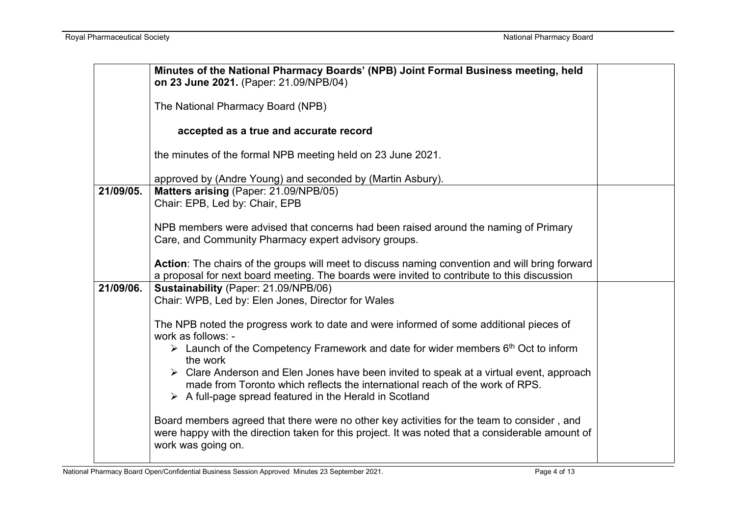|           | Minutes of the National Pharmacy Boards' (NPB) Joint Formal Business meeting, held<br>on 23 June 2021. (Paper: 21.09/NPB/04)                                                                                                                                     |  |  |  |
|-----------|------------------------------------------------------------------------------------------------------------------------------------------------------------------------------------------------------------------------------------------------------------------|--|--|--|
|           | The National Pharmacy Board (NPB)                                                                                                                                                                                                                                |  |  |  |
|           | accepted as a true and accurate record                                                                                                                                                                                                                           |  |  |  |
|           | the minutes of the formal NPB meeting held on 23 June 2021.                                                                                                                                                                                                      |  |  |  |
|           | approved by (Andre Young) and seconded by (Martin Asbury).                                                                                                                                                                                                       |  |  |  |
| 21/09/05. | Matters arising (Paper: 21.09/NPB/05)<br>Chair: EPB, Led by: Chair, EPB                                                                                                                                                                                          |  |  |  |
|           | NPB members were advised that concerns had been raised around the naming of Primary<br>Care, and Community Pharmacy expert advisory groups.                                                                                                                      |  |  |  |
|           | Action: The chairs of the groups will meet to discuss naming convention and will bring forward<br>a proposal for next board meeting. The boards were invited to contribute to this discussion                                                                    |  |  |  |
| 21/09/06. | Sustainability (Paper: 21.09/NPB/06)<br>Chair: WPB, Led by: Elen Jones, Director for Wales                                                                                                                                                                       |  |  |  |
|           | The NPB noted the progress work to date and were informed of some additional pieces of<br>work as follows: -                                                                                                                                                     |  |  |  |
|           | $\triangleright$ Launch of the Competency Framework and date for wider members 6 <sup>th</sup> Oct to inform<br>the work                                                                                                                                         |  |  |  |
|           | $\triangleright$ Clare Anderson and Elen Jones have been invited to speak at a virtual event, approach<br>made from Toronto which reflects the international reach of the work of RPS.<br>$\triangleright$ A full-page spread featured in the Herald in Scotland |  |  |  |
|           | Board members agreed that there were no other key activities for the team to consider, and<br>were happy with the direction taken for this project. It was noted that a considerable amount of<br>work was going on.                                             |  |  |  |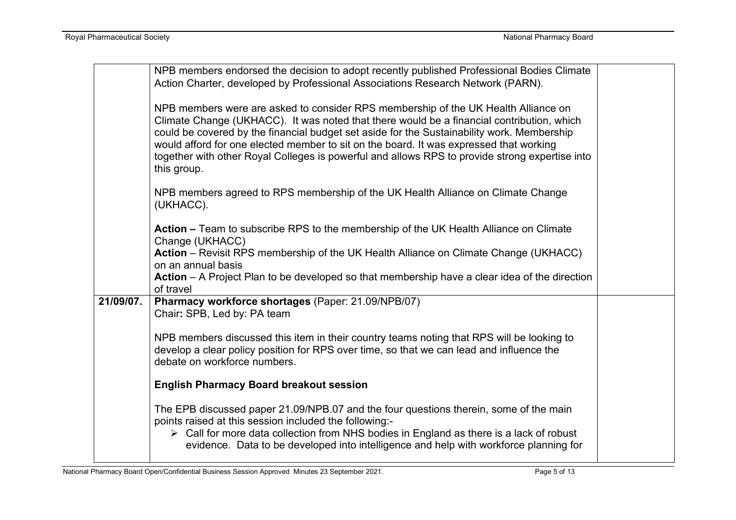|           | NPB members endorsed the decision to adopt recently published Professional Bodies Climate              |  |
|-----------|--------------------------------------------------------------------------------------------------------|--|
|           | Action Charter, developed by Professional Associations Research Network (PARN).                        |  |
|           |                                                                                                        |  |
|           | NPB members were are asked to consider RPS membership of the UK Health Alliance on                     |  |
|           | Climate Change (UKHACC). It was noted that there would be a financial contribution, which              |  |
|           | could be covered by the financial budget set aside for the Sustainability work. Membership             |  |
|           | would afford for one elected member to sit on the board. It was expressed that working                 |  |
|           | together with other Royal Colleges is powerful and allows RPS to provide strong expertise into         |  |
|           | this group.                                                                                            |  |
|           |                                                                                                        |  |
|           | NPB members agreed to RPS membership of the UK Health Alliance on Climate Change                       |  |
|           | (UKHACC).                                                                                              |  |
|           |                                                                                                        |  |
|           | Action – Team to subscribe RPS to the membership of the UK Health Alliance on Climate                  |  |
|           | Change (UKHACC)                                                                                        |  |
|           | Action - Revisit RPS membership of the UK Health Alliance on Climate Change (UKHACC)                   |  |
|           | on an annual basis                                                                                     |  |
|           | Action - A Project Plan to be developed so that membership have a clear idea of the direction          |  |
|           | of travel                                                                                              |  |
| 21/09/07. | Pharmacy workforce shortages (Paper: 21.09/NPB/07)                                                     |  |
|           | Chair: SPB, Led by: PA team                                                                            |  |
|           |                                                                                                        |  |
|           | NPB members discussed this item in their country teams noting that RPS will be looking to              |  |
|           | develop a clear policy position for RPS over time, so that we can lead and influence the               |  |
|           | debate on workforce numbers.                                                                           |  |
|           |                                                                                                        |  |
|           | <b>English Pharmacy Board breakout session</b>                                                         |  |
|           | The EPB discussed paper 21.09/NPB.07 and the four questions therein, some of the main                  |  |
|           | points raised at this session included the following:-                                                 |  |
|           | $\triangleright$ Call for more data collection from NHS bodies in England as there is a lack of robust |  |
|           | evidence. Data to be developed into intelligence and help with workforce planning for                  |  |
|           |                                                                                                        |  |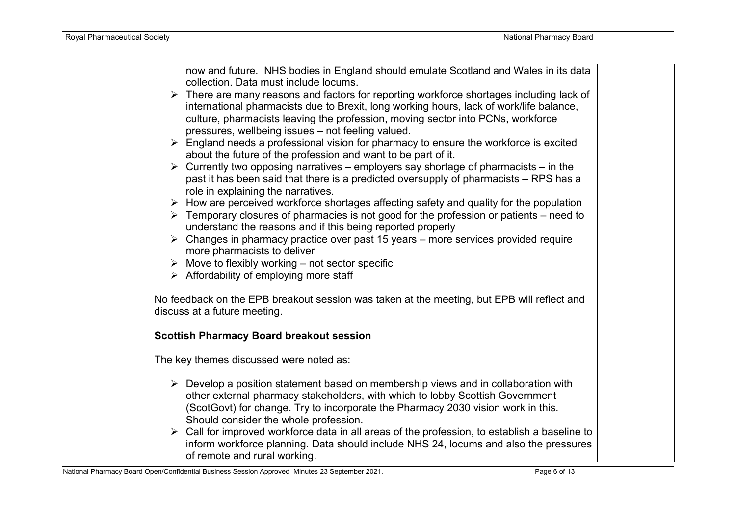| now and future. NHS bodies in England should emulate Scotland and Wales in its data<br>collection. Data must include locums. |  |
|------------------------------------------------------------------------------------------------------------------------------|--|
| $\triangleright$ There are many reasons and factors for reporting workforce shortages including lack of                      |  |
| international pharmacists due to Brexit, long working hours, lack of work/life balance,                                      |  |
| culture, pharmacists leaving the profession, moving sector into PCNs, workforce                                              |  |
| pressures, wellbeing issues - not feeling valued.                                                                            |  |
| $\triangleright$ England needs a professional vision for pharmacy to ensure the workforce is excited                         |  |
| about the future of the profession and want to be part of it.                                                                |  |
| $\triangleright$ Currently two opposing narratives – employers say shortage of pharmacists – in the                          |  |
| past it has been said that there is a predicted oversupply of pharmacists – RPS has a                                        |  |
| role in explaining the narratives.                                                                                           |  |
| $\triangleright$ How are perceived workforce shortages affecting safety and quality for the population                       |  |
| $\triangleright$ Temporary closures of pharmacies is not good for the profession or patients – need to                       |  |
| understand the reasons and if this being reported properly                                                                   |  |
| $\triangleright$ Changes in pharmacy practice over past 15 years – more services provided require                            |  |
| more pharmacists to deliver                                                                                                  |  |
| $\triangleright$ Move to flexibly working – not sector specific                                                              |  |
| $\triangleright$ Affordability of employing more staff                                                                       |  |
|                                                                                                                              |  |
| No feedback on the EPB breakout session was taken at the meeting, but EPB will reflect and                                   |  |
| discuss at a future meeting.                                                                                                 |  |
| <b>Scottish Pharmacy Board breakout session</b>                                                                              |  |
| The key themes discussed were noted as:                                                                                      |  |
| $\triangleright$ Develop a position statement based on membership views and in collaboration with                            |  |
| other external pharmacy stakeholders, with which to lobby Scottish Government                                                |  |
| (ScotGovt) for change. Try to incorporate the Pharmacy 2030 vision work in this.                                             |  |
| Should consider the whole profession.                                                                                        |  |
| $\triangleright$ Call for improved workforce data in all areas of the profession, to establish a baseline to                 |  |
| inform workforce planning. Data should include NHS 24, locums and also the pressures                                         |  |
| of remote and rural working.                                                                                                 |  |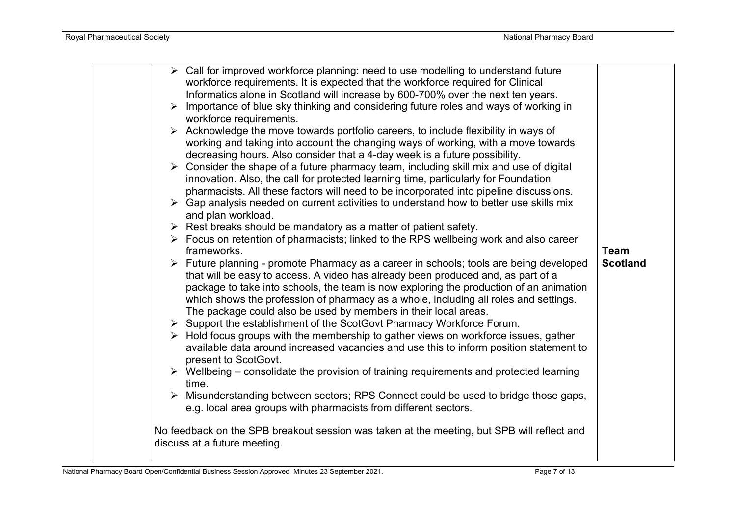| $\triangleright$ Call for improved workforce planning: need to use modelling to understand future<br>workforce requirements. It is expected that the workforce required for Clinical<br>Informatics alone in Scotland will increase by 600-700% over the next ten years.<br>Importance of blue sky thinking and considering future roles and ways of working in<br>$\blacktriangleright$<br>workforce requirements.<br>> Acknowledge the move towards portfolio careers, to include flexibility in ways of                                                                                                                                                                                                                                                                                                                                                                                                                                                                                                                                                                                                                                                                                                                                                                                                                                                                                                                                                                                                                                                                                                                                     |                                |
|------------------------------------------------------------------------------------------------------------------------------------------------------------------------------------------------------------------------------------------------------------------------------------------------------------------------------------------------------------------------------------------------------------------------------------------------------------------------------------------------------------------------------------------------------------------------------------------------------------------------------------------------------------------------------------------------------------------------------------------------------------------------------------------------------------------------------------------------------------------------------------------------------------------------------------------------------------------------------------------------------------------------------------------------------------------------------------------------------------------------------------------------------------------------------------------------------------------------------------------------------------------------------------------------------------------------------------------------------------------------------------------------------------------------------------------------------------------------------------------------------------------------------------------------------------------------------------------------------------------------------------------------|--------------------------------|
| working and taking into account the changing ways of working, with a move towards<br>decreasing hours. Also consider that a 4-day week is a future possibility.<br>$\triangleright$ Consider the shape of a future pharmacy team, including skill mix and use of digital<br>innovation. Also, the call for protected learning time, particularly for Foundation<br>pharmacists. All these factors will need to be incorporated into pipeline discussions.<br>$\triangleright$ Gap analysis needed on current activities to understand how to better use skills mix<br>and plan workload.<br>$\triangleright$ Rest breaks should be mandatory as a matter of patient safety.<br>$\triangleright$ Focus on retention of pharmacists; linked to the RPS wellbeing work and also career<br>frameworks.<br>Future planning - promote Pharmacy as a career in schools; tools are being developed<br>that will be easy to access. A video has already been produced and, as part of a<br>package to take into schools, the team is now exploring the production of an animation<br>which shows the profession of pharmacy as a whole, including all roles and settings.<br>The package could also be used by members in their local areas.<br>> Support the establishment of the ScotGovt Pharmacy Workforce Forum.<br>$\triangleright$ Hold focus groups with the membership to gather views on workforce issues, gather<br>available data around increased vacancies and use this to inform position statement to<br>present to ScotGovt.<br>$\triangleright$ Wellbeing – consolidate the provision of training requirements and protected learning | <b>Team</b><br><b>Scotland</b> |
|                                                                                                                                                                                                                                                                                                                                                                                                                                                                                                                                                                                                                                                                                                                                                                                                                                                                                                                                                                                                                                                                                                                                                                                                                                                                                                                                                                                                                                                                                                                                                                                                                                                |                                |
| time.<br>> Misunderstanding between sectors; RPS Connect could be used to bridge those gaps,<br>e.g. local area groups with pharmacists from different sectors.                                                                                                                                                                                                                                                                                                                                                                                                                                                                                                                                                                                                                                                                                                                                                                                                                                                                                                                                                                                                                                                                                                                                                                                                                                                                                                                                                                                                                                                                                |                                |
| No feedback on the SPB breakout session was taken at the meeting, but SPB will reflect and<br>discuss at a future meeting.                                                                                                                                                                                                                                                                                                                                                                                                                                                                                                                                                                                                                                                                                                                                                                                                                                                                                                                                                                                                                                                                                                                                                                                                                                                                                                                                                                                                                                                                                                                     |                                |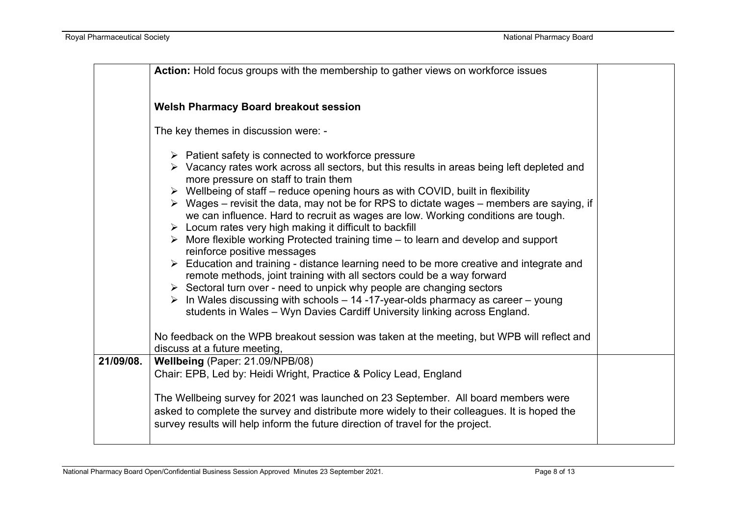|           | Action: Hold focus groups with the membership to gather views on workforce issues                                                                                                                                                                                                                                                                                                                                                                                                                                                                                                                                                                                                                                                                                                                                                                                                                                                                                                                                                                                                                                                                                     |  |
|-----------|-----------------------------------------------------------------------------------------------------------------------------------------------------------------------------------------------------------------------------------------------------------------------------------------------------------------------------------------------------------------------------------------------------------------------------------------------------------------------------------------------------------------------------------------------------------------------------------------------------------------------------------------------------------------------------------------------------------------------------------------------------------------------------------------------------------------------------------------------------------------------------------------------------------------------------------------------------------------------------------------------------------------------------------------------------------------------------------------------------------------------------------------------------------------------|--|
|           | <b>Welsh Pharmacy Board breakout session</b>                                                                                                                                                                                                                                                                                                                                                                                                                                                                                                                                                                                                                                                                                                                                                                                                                                                                                                                                                                                                                                                                                                                          |  |
|           | The key themes in discussion were: -                                                                                                                                                                                                                                                                                                                                                                                                                                                                                                                                                                                                                                                                                                                                                                                                                                                                                                                                                                                                                                                                                                                                  |  |
|           | $\triangleright$ Patient safety is connected to workforce pressure<br>> Vacancy rates work across all sectors, but this results in areas being left depleted and<br>more pressure on staff to train them<br>$\triangleright$ Wellbeing of staff – reduce opening hours as with COVID, built in flexibility<br>$\triangleright$ Wages – revisit the data, may not be for RPS to dictate wages – members are saying, if<br>we can influence. Hard to recruit as wages are low. Working conditions are tough.<br>$\triangleright$ Locum rates very high making it difficult to backfill<br>$\triangleright$ More flexible working Protected training time – to learn and develop and support<br>reinforce positive messages<br>> Education and training - distance learning need to be more creative and integrate and<br>remote methods, joint training with all sectors could be a way forward<br>$\triangleright$ Sectoral turn over - need to unpick why people are changing sectors<br>$\triangleright$ In Wales discussing with schools – 14 -17-year-olds pharmacy as career – young<br>students in Wales - Wyn Davies Cardiff University linking across England. |  |
|           | No feedback on the WPB breakout session was taken at the meeting, but WPB will reflect and<br>discuss at a future meeting,                                                                                                                                                                                                                                                                                                                                                                                                                                                                                                                                                                                                                                                                                                                                                                                                                                                                                                                                                                                                                                            |  |
| 21/09/08. | Wellbeing (Paper: 21.09/NPB/08)<br>Chair: EPB, Led by: Heidi Wright, Practice & Policy Lead, England                                                                                                                                                                                                                                                                                                                                                                                                                                                                                                                                                                                                                                                                                                                                                                                                                                                                                                                                                                                                                                                                  |  |
|           | The Wellbeing survey for 2021 was launched on 23 September. All board members were<br>asked to complete the survey and distribute more widely to their colleagues. It is hoped the<br>survey results will help inform the future direction of travel for the project.                                                                                                                                                                                                                                                                                                                                                                                                                                                                                                                                                                                                                                                                                                                                                                                                                                                                                                 |  |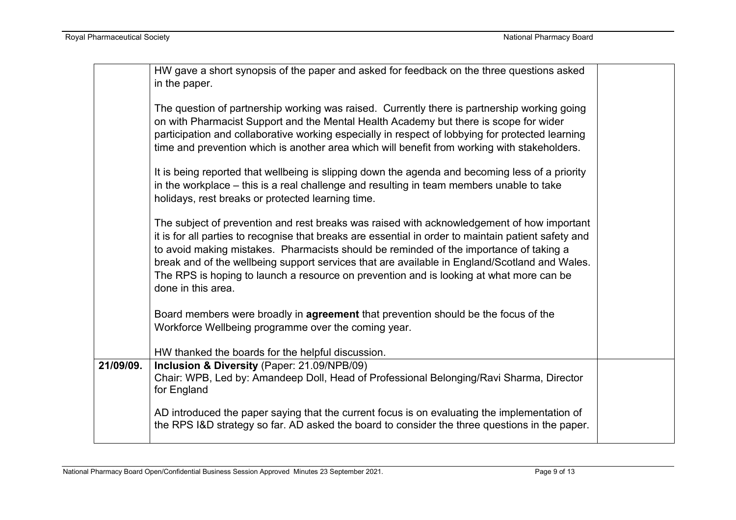|           | HW gave a short synopsis of the paper and asked for feedback on the three questions asked<br>in the paper.                                                                                                                                                                                                                                                                                                                                                                                                     |  |
|-----------|----------------------------------------------------------------------------------------------------------------------------------------------------------------------------------------------------------------------------------------------------------------------------------------------------------------------------------------------------------------------------------------------------------------------------------------------------------------------------------------------------------------|--|
|           | The question of partnership working was raised. Currently there is partnership working going<br>on with Pharmacist Support and the Mental Health Academy but there is scope for wider<br>participation and collaborative working especially in respect of lobbying for protected learning<br>time and prevention which is another area which will benefit from working with stakeholders.                                                                                                                      |  |
|           | It is being reported that wellbeing is slipping down the agenda and becoming less of a priority<br>in the workplace – this is a real challenge and resulting in team members unable to take<br>holidays, rest breaks or protected learning time.                                                                                                                                                                                                                                                               |  |
|           | The subject of prevention and rest breaks was raised with acknowledgement of how important<br>it is for all parties to recognise that breaks are essential in order to maintain patient safety and<br>to avoid making mistakes. Pharmacists should be reminded of the importance of taking a<br>break and of the wellbeing support services that are available in England/Scotland and Wales.<br>The RPS is hoping to launch a resource on prevention and is looking at what more can be<br>done in this area. |  |
|           | Board members were broadly in <b>agreement</b> that prevention should be the focus of the<br>Workforce Wellbeing programme over the coming year.                                                                                                                                                                                                                                                                                                                                                               |  |
| 21/09/09. | HW thanked the boards for the helpful discussion.<br>Inclusion & Diversity (Paper: 21.09/NPB/09)                                                                                                                                                                                                                                                                                                                                                                                                               |  |
|           | Chair: WPB, Led by: Amandeep Doll, Head of Professional Belonging/Ravi Sharma, Director<br>for England                                                                                                                                                                                                                                                                                                                                                                                                         |  |
|           | AD introduced the paper saying that the current focus is on evaluating the implementation of<br>the RPS I&D strategy so far. AD asked the board to consider the three questions in the paper.                                                                                                                                                                                                                                                                                                                  |  |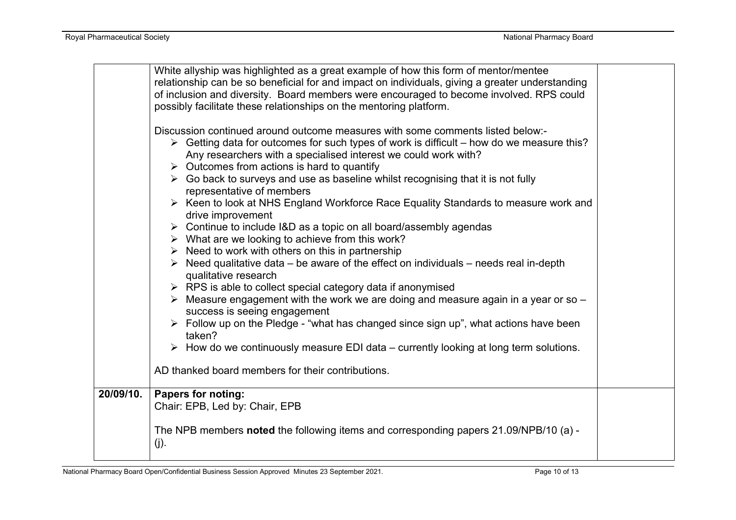|           | White allyship was highlighted as a great example of how this form of mentor/mentee                      |  |
|-----------|----------------------------------------------------------------------------------------------------------|--|
|           | relationship can be so beneficial for and impact on individuals, giving a greater understanding          |  |
|           | of inclusion and diversity. Board members were encouraged to become involved. RPS could                  |  |
|           | possibly facilitate these relationships on the mentoring platform.                                       |  |
|           |                                                                                                          |  |
|           | Discussion continued around outcome measures with some comments listed below:-                           |  |
|           | $\triangleright$ Getting data for outcomes for such types of work is difficult – how do we measure this? |  |
|           | Any researchers with a specialised interest we could work with?                                          |  |
|           | $\triangleright$ Outcomes from actions is hard to quantify                                               |  |
|           | $\triangleright$ Go back to surveys and use as baseline whilst recognising that it is not fully          |  |
|           | representative of members                                                                                |  |
|           | ▶ Keen to look at NHS England Workforce Race Equality Standards to measure work and                      |  |
|           | drive improvement                                                                                        |  |
|           | $\triangleright$ Continue to include I&D as a topic on all board/assembly agendas                        |  |
|           | $\triangleright$ What are we looking to achieve from this work?                                          |  |
|           | $\triangleright$ Need to work with others on this in partnership                                         |  |
|           | $\triangleright$ Need qualitative data – be aware of the effect on individuals – needs real in-depth     |  |
|           | qualitative research                                                                                     |  |
|           | $\triangleright$ RPS is able to collect special category data if anonymised                              |  |
|           | $\triangleright$ Measure engagement with the work we are doing and measure again in a year or so $-$     |  |
|           | success is seeing engagement                                                                             |  |
|           | > Follow up on the Pledge - "what has changed since sign up", what actions have been                     |  |
|           | taken?                                                                                                   |  |
|           | $\triangleright$ How do we continuously measure EDI data – currently looking at long term solutions.     |  |
|           |                                                                                                          |  |
|           | AD thanked board members for their contributions.                                                        |  |
| 20/09/10. |                                                                                                          |  |
|           | <b>Papers for noting:</b><br>Chair: EPB, Led by: Chair, EPB                                              |  |
|           |                                                                                                          |  |
|           | The NPB members noted the following items and corresponding papers 21.09/NPB/10 (a) -                    |  |
|           |                                                                                                          |  |
|           | $(j)$ .                                                                                                  |  |
|           |                                                                                                          |  |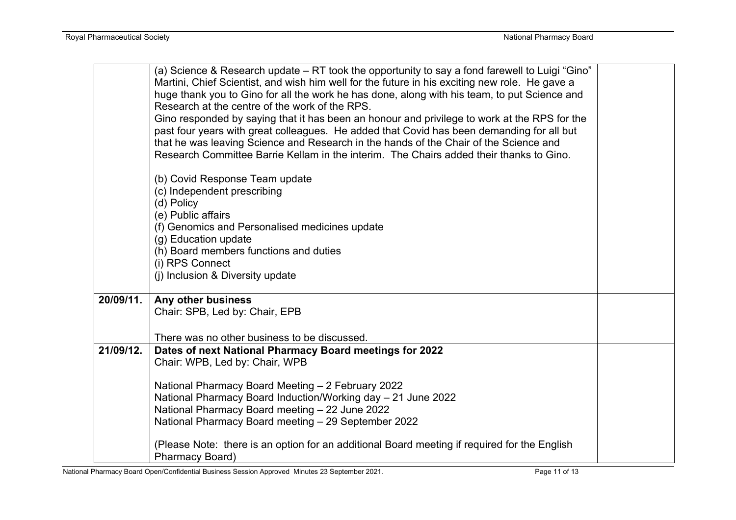|           | (a) Science & Research update – RT took the opportunity to say a fond farewell to Luigi "Gino" |  |  |  |
|-----------|------------------------------------------------------------------------------------------------|--|--|--|
|           | Martini, Chief Scientist, and wish him well for the future in his exciting new role. He gave a |  |  |  |
|           | huge thank you to Gino for all the work he has done, along with his team, to put Science and   |  |  |  |
|           | Research at the centre of the work of the RPS.                                                 |  |  |  |
|           | Gino responded by saying that it has been an honour and privilege to work at the RPS for the   |  |  |  |
|           | past four years with great colleagues. He added that Covid has been demanding for all but      |  |  |  |
|           | that he was leaving Science and Research in the hands of the Chair of the Science and          |  |  |  |
|           | Research Committee Barrie Kellam in the interim. The Chairs added their thanks to Gino.        |  |  |  |
|           | (b) Covid Response Team update                                                                 |  |  |  |
|           | (c) Independent prescribing                                                                    |  |  |  |
|           | (d) Policy                                                                                     |  |  |  |
|           | (e) Public affairs                                                                             |  |  |  |
|           | (f) Genomics and Personalised medicines update                                                 |  |  |  |
|           | (g) Education update                                                                           |  |  |  |
|           | (h) Board members functions and duties                                                         |  |  |  |
|           | (i) RPS Connect                                                                                |  |  |  |
|           | (i) Inclusion & Diversity update                                                               |  |  |  |
| 20/09/11. | Any other business                                                                             |  |  |  |
|           | Chair: SPB, Led by: Chair, EPB                                                                 |  |  |  |
|           |                                                                                                |  |  |  |
|           | There was no other business to be discussed.                                                   |  |  |  |
| 21/09/12. | Dates of next National Pharmacy Board meetings for 2022                                        |  |  |  |
|           | Chair: WPB, Led by: Chair, WPB                                                                 |  |  |  |
|           |                                                                                                |  |  |  |
|           | National Pharmacy Board Meeting - 2 February 2022                                              |  |  |  |
|           | National Pharmacy Board Induction/Working day - 21 June 2022                                   |  |  |  |
|           | National Pharmacy Board meeting - 22 June 2022                                                 |  |  |  |
|           | National Pharmacy Board meeting - 29 September 2022                                            |  |  |  |
|           | (Please Note: there is an option for an additional Board meeting if required for the English   |  |  |  |
|           | Pharmacy Board)                                                                                |  |  |  |

National Pharmacy Board Open/Confidential Business Session Approved Minutes 23 September 2021. Page 11 Page 11 of 13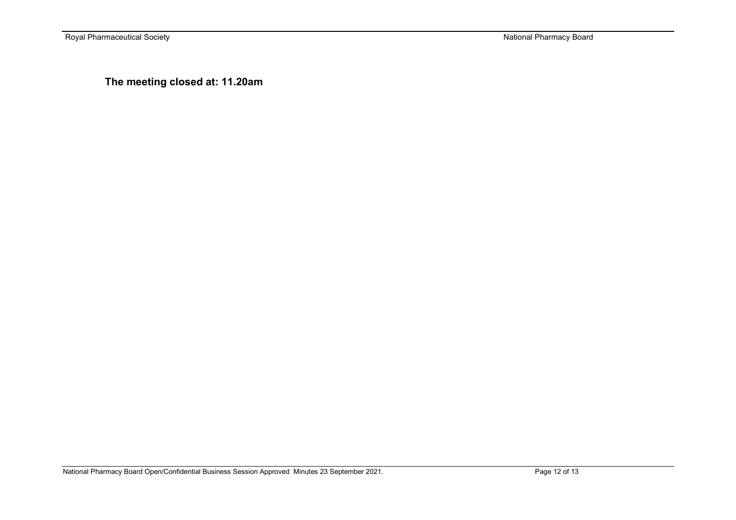Royal Pharmaceutical Society **National Pharmacy Board** National Pharmacy Board

**The meeting closed at: 11.20am**